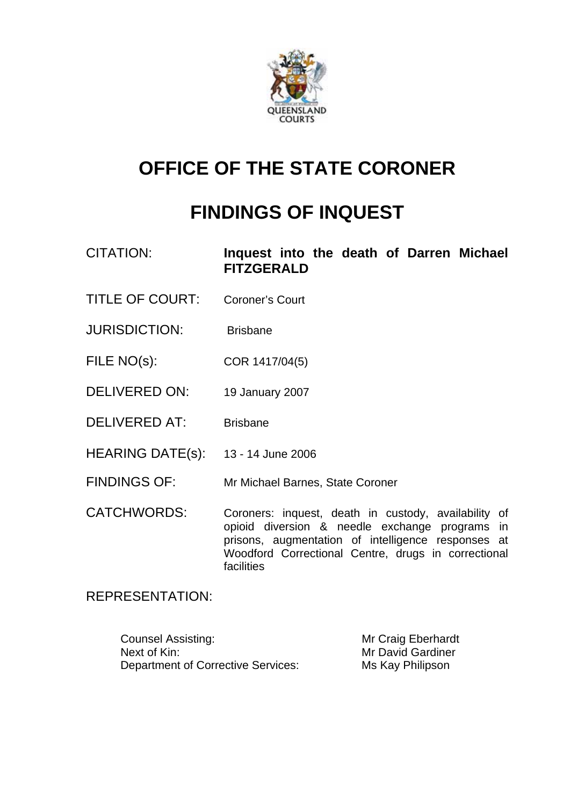

# **OFFICE OF THE STATE CORONER**

# **FINDINGS OF INQUEST**

| CITATION: |                   |  |  | Inquest into the death of Darren Michael |
|-----------|-------------------|--|--|------------------------------------------|
|           | <b>FITZGERALD</b> |  |  |                                          |

- TITLE OF COURT: Coroner's Court
- JURISDICTION: Brisbane
- FILE NO(s): COR 1417/04(5)
- DELIVERED ON: 19 January 2007
- DELIVERED AT: Brisbane
- HEARING DATE(s): 13 14 June 2006
- FINDINGS OF: Mr Michael Barnes, State Coroner
- CATCHWORDS: Coroners: inquest, death in custody, availability of opioid diversion & needle exchange programs in prisons, augmentation of intelligence responses at Woodford Correctional Centre, drugs in correctional facilities

#### REPRESENTATION:

Counsel Assisting: Mr Craig Eberhardt Next of Kin: Next of Kin: Next of Kin: Next of Kin: Next of Kin: Next of Kin: Next of Kin: Next of Minimum of Minimum of Minimum of Minimum of Minimum of Minimum of Minimum of Minimum of Minimum of Minimum of Minimum of Mi Department of Corrective Services: Ms Kay Philipson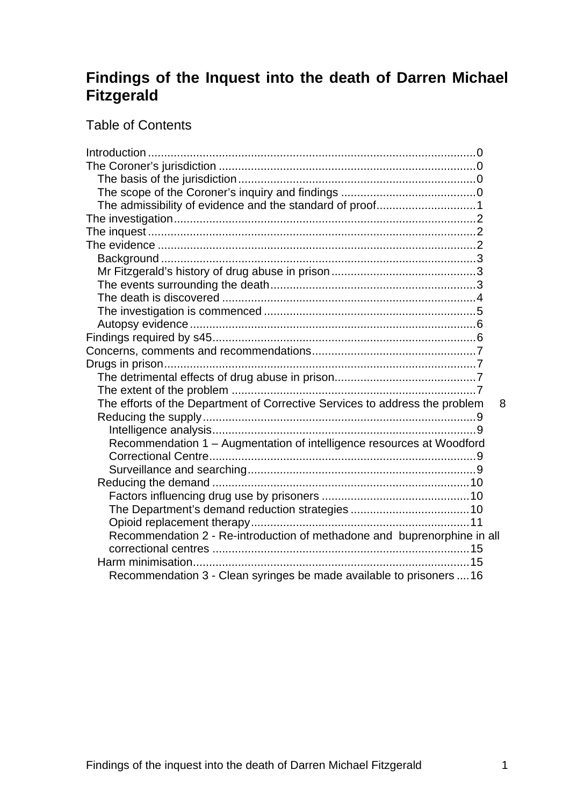## **Findings of the Inquest into the death of Darren Michael Fitzgerald**

## Table of Contents

| The admissibility of evidence and the standard of proof1                         |
|----------------------------------------------------------------------------------|
|                                                                                  |
|                                                                                  |
|                                                                                  |
|                                                                                  |
|                                                                                  |
|                                                                                  |
|                                                                                  |
|                                                                                  |
|                                                                                  |
|                                                                                  |
|                                                                                  |
|                                                                                  |
|                                                                                  |
|                                                                                  |
| The efforts of the Department of Corrective Services to address the problem<br>8 |
|                                                                                  |
|                                                                                  |
| Recommendation 1 - Augmentation of intelligence resources at Woodford            |
|                                                                                  |
|                                                                                  |
|                                                                                  |
|                                                                                  |
|                                                                                  |
|                                                                                  |
| Recommendation 2 - Re-introduction of methadone and buprenorphine in all         |
|                                                                                  |
|                                                                                  |
| Recommendation 3 - Clean syringes be made available to prisoners  16             |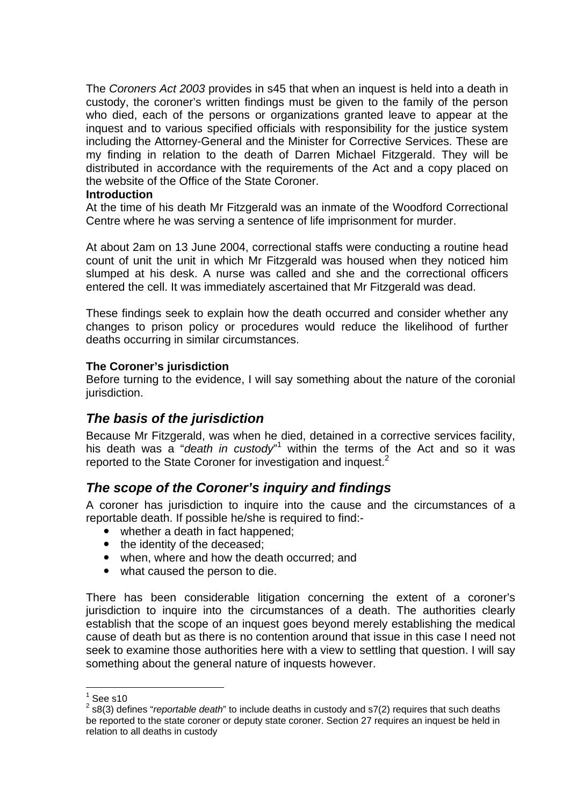The *Coroners Act 2003* provides in s45 that when an inquest is held into a death in custody, the coroner's written findings must be given to the family of the person who died, each of the persons or organizations granted leave to appear at the inquest and to various specified officials with responsibility for the justice system including the Attorney-General and the Minister for Corrective Services. These are my finding in relation to the death of Darren Michael Fitzgerald. They will be distributed in accordance with the requirements of the Act and a copy placed on the website of the Office of the State Coroner.

#### **Introduction**

At the time of his death Mr Fitzgerald was an inmate of the Woodford Correctional Centre where he was serving a sentence of life imprisonment for murder.

At about 2am on 13 June 2004, correctional staffs were conducting a routine head count of unit the unit in which Mr Fitzgerald was housed when they noticed him slumped at his desk. A nurse was called and she and the correctional officers entered the cell. It was immediately ascertained that Mr Fitzgerald was dead.

These findings seek to explain how the death occurred and consider whether any changes to prison policy or procedures would reduce the likelihood of further deaths occurring in similar circumstances.

#### **The Coroner's jurisdiction**

Before turning to the evidence, I will say something about the nature of the coronial jurisdiction.

## *The basis of the jurisdiction*

Because Mr Fitzgerald, was when he died, detained in a corrective services facility, his death was a "*death in custody*" within the terms of the Act and so it was reported to the State Coroner for investigation and inquest.<sup>2</sup>

## *The scope of the Coroner's inquiry and findings*

A coroner has jurisdiction to inquire into the cause and the circumstances of a reportable death. If possible he/she is required to find:-

- whether a death in fact happened:
- the identity of the deceased:
- when, where and how the death occurred; and
- what caused the person to die.

There has been considerable litigation concerning the extent of a coroner's jurisdiction to inquire into the circumstances of a death. The authorities clearly establish that the scope of an inquest goes beyond merely establishing the medical cause of death but as there is no contention around that issue in this case I need not seek to examine those authorities here with a view to settling that question. I will say something about the general nature of inquests however.

 $\frac{1}{1}$ See s10

<sup>2</sup> s8(3) defines "*reportable death*" to include deaths in custody and s7(2) requires that such deaths be reported to the state coroner or deputy state coroner. Section 27 requires an inquest be held in relation to all deaths in custody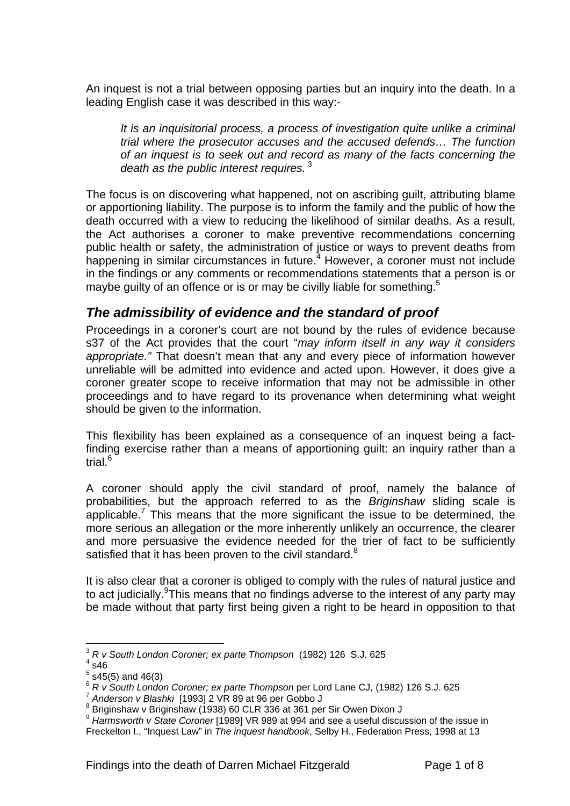An inquest is not a trial between opposing parties but an inquiry into the death. In a leading English case it was described in this way:-

*It is an inquisitorial process, a process of investigation quite unlike a criminal trial where the prosecutor accuses and the accused defends… The function of an inquest is to seek out and record as many of the facts concerning the death as the public interest requires.*<sup>3</sup>

The focus is on discovering what happened, not on ascribing guilt, attributing blame or apportioning liability. The purpose is to inform the family and the public of how the death occurred with a view to reducing the likelihood of similar deaths. As a result, the Act authorises a coroner to make preventive recommendations concerning public health or safety, the administration of justice or ways to prevent deaths from happening in similar circumstances in future.<sup>4</sup> However, a coroner must not include in the findings or any comments or recommendations statements that a person is or maybe guilty of an offence or is or may be civilly liable for something.<sup>5</sup>

## *The admissibility of evidence and the standard of proof*

Proceedings in a coroner's court are not bound by the rules of evidence because s37 of the Act provides that the court "*may inform itself in any way it considers appropriate."* That doesn't mean that any and every piece of information however unreliable will be admitted into evidence and acted upon. However, it does give a coroner greater scope to receive information that may not be admissible in other proceedings and to have regard to its provenance when determining what weight should be given to the information.

This flexibility has been explained as a consequence of an inquest being a factfinding exercise rather than a means of apportioning guilt: an inquiry rather than a trial.<sup>6</sup>

A coroner should apply the civil standard of proof, namely the balance of probabilities, but the approach referred to as the *Briginshaw* sliding scale is applicable.<sup>7</sup> This means that the more significant the issue to be determined, the more serious an allegation or the more inherently unlikely an occurrence, the clearer and more persuasive the evidence needed for the trier of fact to be sufficiently satisfied that it has been proven to the civil standard. $8$ 

It is also clear that a coroner is obliged to comply with the rules of natural justice and to act judicially. This means that no findings adverse to the interest of any party may be made without that party first being given a right to be heard in opposition to that

 $\overline{a}$ <sup>3</sup> *R v South London Coroner; ex parte Thompson* (1982) 126 S.J. 625 4

 $4$  s46

 $5$  s45(5) and 46(3)

<sup>&</sup>lt;sup>6</sup> *R v South London Coroner; ex parte Thompson* per Lord Lane CJ, (1982) 126 S.J. 625<br><sup>7</sup> Anderson v Blashki [1993] 2 VR 89 at 96 per Gobbo J

<sup>8</sup> Princesson 1 Engels 1, 2007<br>Briginshaw v Briginshaw (1938) 60 CLR 336 at 361 per Sir Owen Dixon J

<sup>&</sup>lt;sup>9</sup> Harmsworth v State Coroner [1989] VR 989 at 994 and see a useful discussion of the issue in Freckelton I., "Inquest Law" in *The inquest handbook*, Selby H., Federation Press, 1998 at 13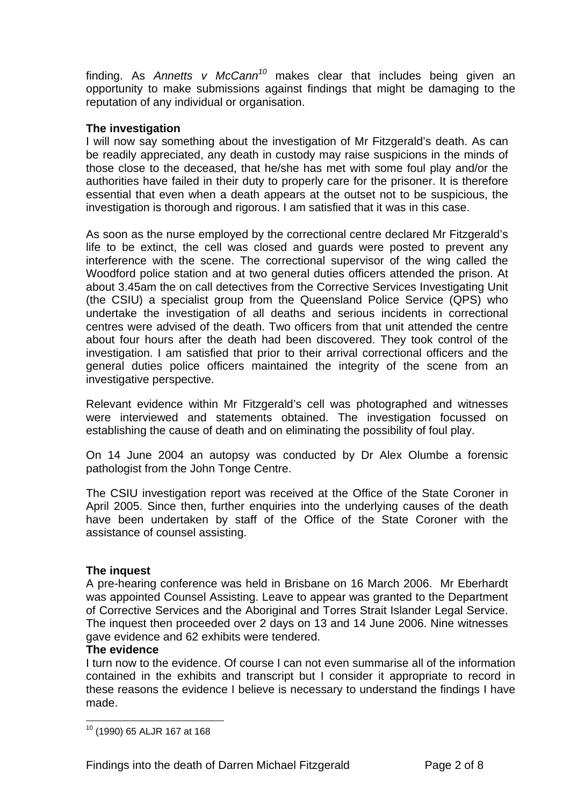finding. As *Annetts v McCann<sup>10</sup>* makes clear that includes being given an opportunity to make submissions against findings that might be damaging to the reputation of any individual or organisation.

#### **The investigation**

I will now say something about the investigation of Mr Fitzgerald's death. As can be readily appreciated, any death in custody may raise suspicions in the minds of those close to the deceased, that he/she has met with some foul play and/or the authorities have failed in their duty to properly care for the prisoner. It is therefore essential that even when a death appears at the outset not to be suspicious, the investigation is thorough and rigorous. I am satisfied that it was in this case.

As soon as the nurse employed by the correctional centre declared Mr Fitzgerald's life to be extinct, the cell was closed and guards were posted to prevent any interference with the scene. The correctional supervisor of the wing called the Woodford police station and at two general duties officers attended the prison. At about 3.45am the on call detectives from the Corrective Services Investigating Unit (the CSIU) a specialist group from the Queensland Police Service (QPS) who undertake the investigation of all deaths and serious incidents in correctional centres were advised of the death. Two officers from that unit attended the centre about four hours after the death had been discovered. They took control of the investigation. I am satisfied that prior to their arrival correctional officers and the general duties police officers maintained the integrity of the scene from an investigative perspective.

Relevant evidence within Mr Fitzgerald's cell was photographed and witnesses were interviewed and statements obtained. The investigation focussed on establishing the cause of death and on eliminating the possibility of foul play.

On 14 June 2004 an autopsy was conducted by Dr Alex Olumbe a forensic pathologist from the John Tonge Centre.

The CSIU investigation report was received at the Office of the State Coroner in April 2005. Since then, further enquiries into the underlying causes of the death have been undertaken by staff of the Office of the State Coroner with the assistance of counsel assisting.

#### **The inquest**

A pre-hearing conference was held in Brisbane on 16 March 2006. Mr Eberhardt was appointed Counsel Assisting. Leave to appear was granted to the Department of Corrective Services and the Aboriginal and Torres Strait Islander Legal Service. The inquest then proceeded over 2 days on 13 and 14 June 2006. Nine witnesses gave evidence and 62 exhibits were tendered.

#### **The evidence**

I turn now to the evidence. Of course I can not even summarise all of the information contained in the exhibits and transcript but I consider it appropriate to record in these reasons the evidence I believe is necessary to understand the findings I have made.

l 10 (1990) 65 ALJR 167 at 168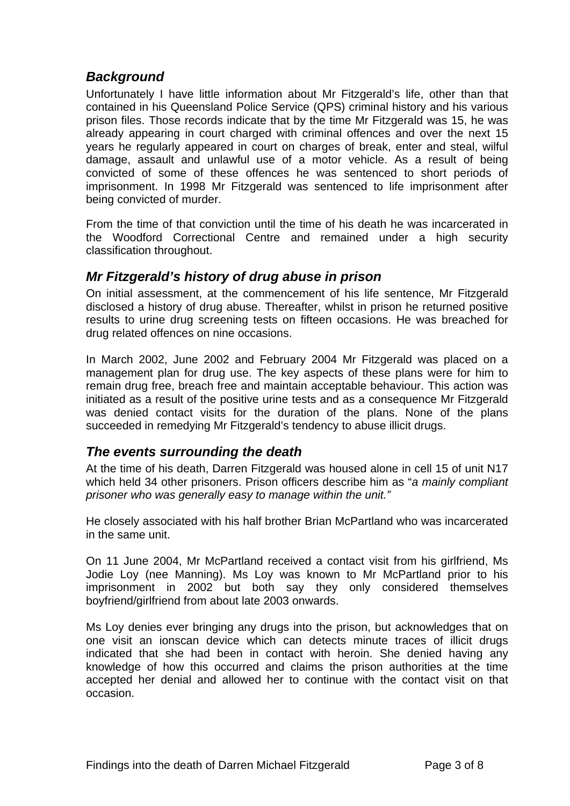## *Background*

Unfortunately I have little information about Mr Fitzgerald's life, other than that contained in his Queensland Police Service (QPS) criminal history and his various prison files. Those records indicate that by the time Mr Fitzgerald was 15, he was already appearing in court charged with criminal offences and over the next 15 years he regularly appeared in court on charges of break, enter and steal, wilful damage, assault and unlawful use of a motor vehicle. As a result of being convicted of some of these offences he was sentenced to short periods of imprisonment. In 1998 Mr Fitzgerald was sentenced to life imprisonment after being convicted of murder.

From the time of that conviction until the time of his death he was incarcerated in the Woodford Correctional Centre and remained under a high security classification throughout.

## *Mr Fitzgerald's history of drug abuse in prison*

On initial assessment, at the commencement of his life sentence, Mr Fitzgerald disclosed a history of drug abuse. Thereafter, whilst in prison he returned positive results to urine drug screening tests on fifteen occasions. He was breached for drug related offences on nine occasions.

In March 2002, June 2002 and February 2004 Mr Fitzgerald was placed on a management plan for drug use. The key aspects of these plans were for him to remain drug free, breach free and maintain acceptable behaviour. This action was initiated as a result of the positive urine tests and as a consequence Mr Fitzgerald was denied contact visits for the duration of the plans. None of the plans succeeded in remedying Mr Fitzgerald's tendency to abuse illicit drugs.

#### *The events surrounding the death*

At the time of his death, Darren Fitzgerald was housed alone in cell 15 of unit N17 which held 34 other prisoners. Prison officers describe him as "*a mainly compliant prisoner who was generally easy to manage within the unit."* 

He closely associated with his half brother Brian McPartland who was incarcerated in the same unit.

On 11 June 2004, Mr McPartland received a contact visit from his girlfriend, Ms Jodie Loy (nee Manning). Ms Loy was known to Mr McPartland prior to his imprisonment in 2002 but both say they only considered themselves boyfriend/girlfriend from about late 2003 onwards.

Ms Loy denies ever bringing any drugs into the prison, but acknowledges that on one visit an ionscan device which can detects minute traces of illicit drugs indicated that she had been in contact with heroin. She denied having any knowledge of how this occurred and claims the prison authorities at the time accepted her denial and allowed her to continue with the contact visit on that occasion.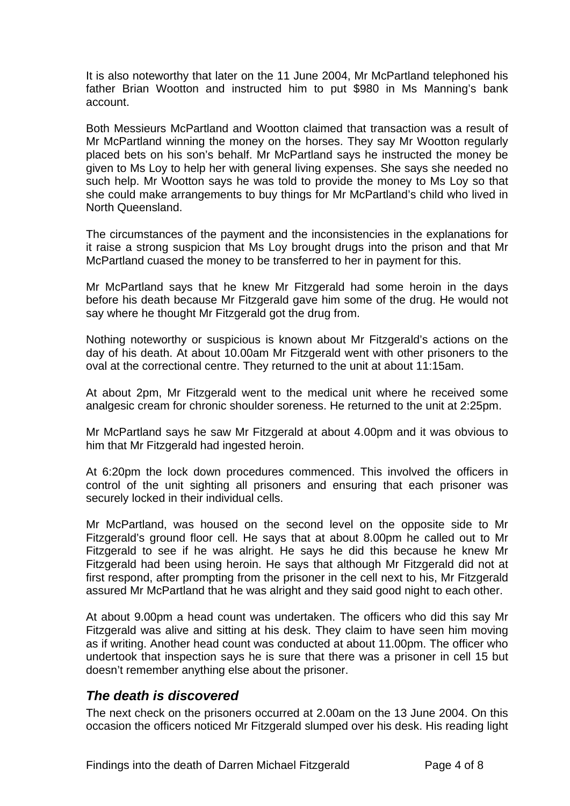It is also noteworthy that later on the 11 June 2004, Mr McPartland telephoned his father Brian Wootton and instructed him to put \$980 in Ms Manning's bank account.

Both Messieurs McPartland and Wootton claimed that transaction was a result of Mr McPartland winning the money on the horses. They say Mr Wootton regularly placed bets on his son's behalf. Mr McPartland says he instructed the money be given to Ms Loy to help her with general living expenses. She says she needed no such help. Mr Wootton says he was told to provide the money to Ms Loy so that she could make arrangements to buy things for Mr McPartland's child who lived in North Queensland.

The circumstances of the payment and the inconsistencies in the explanations for it raise a strong suspicion that Ms Loy brought drugs into the prison and that Mr McPartland cuased the money to be transferred to her in payment for this.

Mr McPartland says that he knew Mr Fitzgerald had some heroin in the days before his death because Mr Fitzgerald gave him some of the drug. He would not say where he thought Mr Fitzgerald got the drug from.

Nothing noteworthy or suspicious is known about Mr Fitzgerald's actions on the day of his death. At about 10.00am Mr Fitzgerald went with other prisoners to the oval at the correctional centre. They returned to the unit at about 11:15am.

At about 2pm, Mr Fitzgerald went to the medical unit where he received some analgesic cream for chronic shoulder soreness. He returned to the unit at 2:25pm.

Mr McPartland says he saw Mr Fitzgerald at about 4.00pm and it was obvious to him that Mr Fitzgerald had ingested heroin.

At 6:20pm the lock down procedures commenced. This involved the officers in control of the unit sighting all prisoners and ensuring that each prisoner was securely locked in their individual cells.

Mr McPartland, was housed on the second level on the opposite side to Mr Fitzgerald's ground floor cell. He says that at about 8.00pm he called out to Mr Fitzgerald to see if he was alright. He says he did this because he knew Mr Fitzgerald had been using heroin. He says that although Mr Fitzgerald did not at first respond, after prompting from the prisoner in the cell next to his, Mr Fitzgerald assured Mr McPartland that he was alright and they said good night to each other.

At about 9.00pm a head count was undertaken. The officers who did this say Mr Fitzgerald was alive and sitting at his desk. They claim to have seen him moving as if writing. Another head count was conducted at about 11.00pm. The officer who undertook that inspection says he is sure that there was a prisoner in cell 15 but doesn't remember anything else about the prisoner.

## *The death is discovered*

The next check on the prisoners occurred at 2.00am on the 13 June 2004. On this occasion the officers noticed Mr Fitzgerald slumped over his desk. His reading light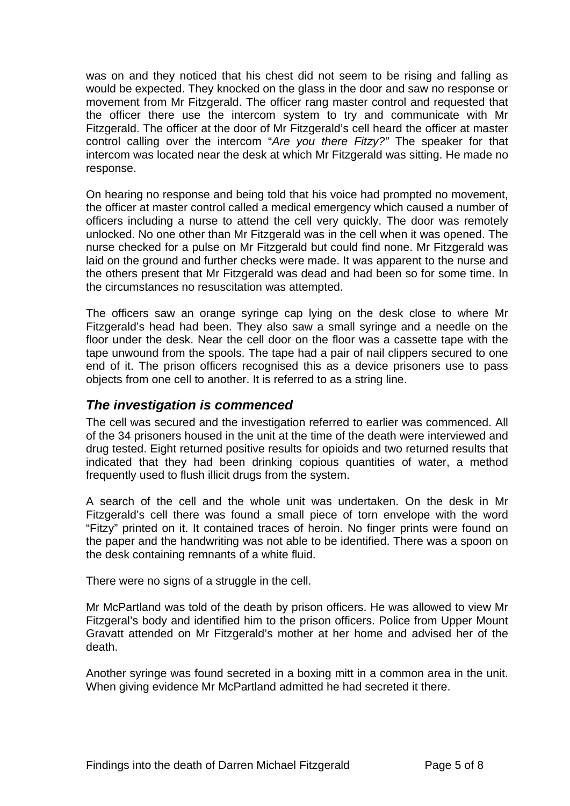was on and they noticed that his chest did not seem to be rising and falling as would be expected. They knocked on the glass in the door and saw no response or movement from Mr Fitzgerald. The officer rang master control and requested that the officer there use the intercom system to try and communicate with Mr Fitzgerald. The officer at the door of Mr Fitzgerald's cell heard the officer at master control calling over the intercom "*Are you there Fitzy?"* The speaker for that intercom was located near the desk at which Mr Fitzgerald was sitting. He made no response.

On hearing no response and being told that his voice had prompted no movement, the officer at master control called a medical emergency which caused a number of officers including a nurse to attend the cell very quickly. The door was remotely unlocked. No one other than Mr Fitzgerald was in the cell when it was opened. The nurse checked for a pulse on Mr Fitzgerald but could find none. Mr Fitzgerald was laid on the ground and further checks were made. It was apparent to the nurse and the others present that Mr Fitzgerald was dead and had been so for some time. In the circumstances no resuscitation was attempted.

The officers saw an orange syringe cap lying on the desk close to where Mr Fitzgerald's head had been. They also saw a small syringe and a needle on the floor under the desk. Near the cell door on the floor was a cassette tape with the tape unwound from the spools. The tape had a pair of nail clippers secured to one end of it. The prison officers recognised this as a device prisoners use to pass objects from one cell to another. It is referred to as a string line.

## *The investigation is commenced*

The cell was secured and the investigation referred to earlier was commenced. All of the 34 prisoners housed in the unit at the time of the death were interviewed and drug tested. Eight returned positive results for opioids and two returned results that indicated that they had been drinking copious quantities of water, a method frequently used to flush illicit drugs from the system.

A search of the cell and the whole unit was undertaken. On the desk in Mr Fitzgerald's cell there was found a small piece of torn envelope with the word "Fitzy" printed on it. It contained traces of heroin. No finger prints were found on the paper and the handwriting was not able to be identified. There was a spoon on the desk containing remnants of a white fluid.

There were no signs of a struggle in the cell.

Mr McPartland was told of the death by prison officers. He was allowed to view Mr Fitzgeral's body and identified him to the prison officers. Police from Upper Mount Gravatt attended on Mr Fitzgerald's mother at her home and advised her of the death.

Another syringe was found secreted in a boxing mitt in a common area in the unit. When giving evidence Mr McPartland admitted he had secreted it there.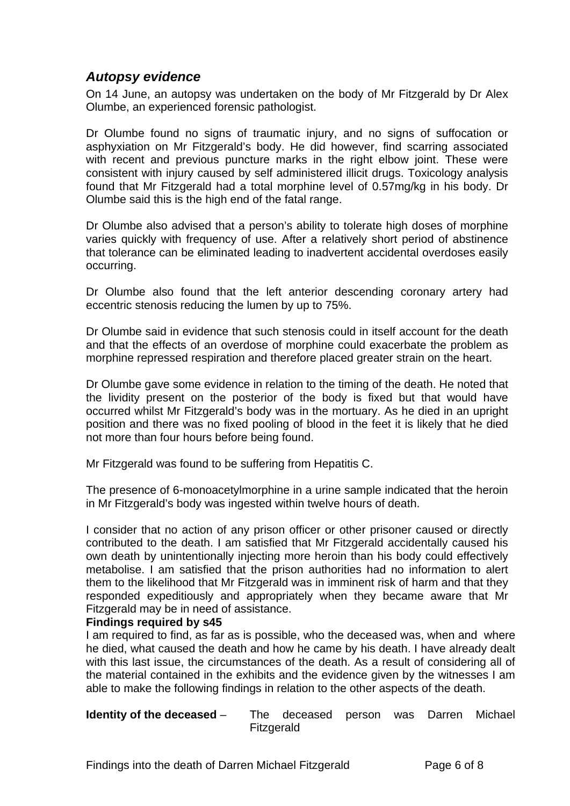## *Autopsy evidence*

On 14 June, an autopsy was undertaken on the body of Mr Fitzgerald by Dr Alex Olumbe, an experienced forensic pathologist.

Dr Olumbe found no signs of traumatic injury, and no signs of suffocation or asphyxiation on Mr Fitzgerald's body. He did however, find scarring associated with recent and previous puncture marks in the right elbow joint. These were consistent with injury caused by self administered illicit drugs. Toxicology analysis found that Mr Fitzgerald had a total morphine level of 0.57mg/kg in his body. Dr Olumbe said this is the high end of the fatal range.

Dr Olumbe also advised that a person's ability to tolerate high doses of morphine varies quickly with frequency of use. After a relatively short period of abstinence that tolerance can be eliminated leading to inadvertent accidental overdoses easily occurring.

Dr Olumbe also found that the left anterior descending coronary artery had eccentric stenosis reducing the lumen by up to 75%.

Dr Olumbe said in evidence that such stenosis could in itself account for the death and that the effects of an overdose of morphine could exacerbate the problem as morphine repressed respiration and therefore placed greater strain on the heart.

Dr Olumbe gave some evidence in relation to the timing of the death. He noted that the lividity present on the posterior of the body is fixed but that would have occurred whilst Mr Fitzgerald's body was in the mortuary. As he died in an upright position and there was no fixed pooling of blood in the feet it is likely that he died not more than four hours before being found.

Mr Fitzgerald was found to be suffering from Hepatitis C.

The presence of 6-monoacetylmorphine in a urine sample indicated that the heroin in Mr Fitzgerald's body was ingested within twelve hours of death.

I consider that no action of any prison officer or other prisoner caused or directly contributed to the death. I am satisfied that Mr Fitzgerald accidentally caused his own death by unintentionally injecting more heroin than his body could effectively metabolise. I am satisfied that the prison authorities had no information to alert them to the likelihood that Mr Fitzgerald was in imminent risk of harm and that they responded expeditiously and appropriately when they became aware that Mr Fitzgerald may be in need of assistance.

#### **Findings required by s45**

I am required to find, as far as is possible, who the deceased was, when and where he died, what caused the death and how he came by his death. I have already dealt with this last issue, the circumstances of the death. As a result of considering all of the material contained in the exhibits and the evidence given by the witnesses I am able to make the following findings in relation to the other aspects of the death.

#### **Identity of the deceased** – The deceased person was Darren Michael Fitzgerald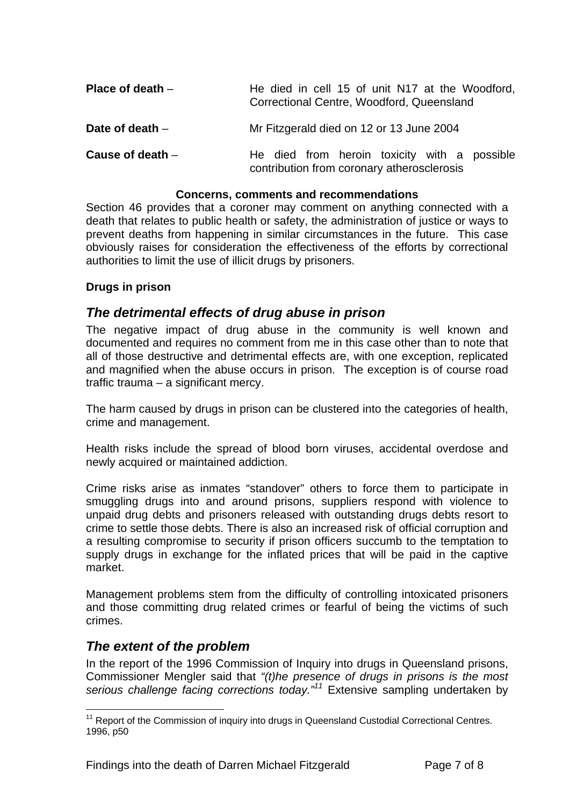| Place of death $-$ | He died in cell 15 of unit N17 at the Woodford,<br>Correctional Centre, Woodford, Queensland |  |  |  |  |
|--------------------|----------------------------------------------------------------------------------------------|--|--|--|--|
| Date of death $-$  | Mr Fitzgerald died on 12 or 13 June 2004                                                     |  |  |  |  |
| Cause of death $-$ | He died from heroin toxicity with a possible<br>contribution from coronary atherosclerosis   |  |  |  |  |

#### **Concerns, comments and recommendations**

Section 46 provides that a coroner may comment on anything connected with a death that relates to public health or safety, the administration of justice or ways to prevent deaths from happening in similar circumstances in the future. This case obviously raises for consideration the effectiveness of the efforts by correctional authorities to limit the use of illicit drugs by prisoners.

#### **Drugs in prison**

#### *The detrimental effects of drug abuse in prison*

The negative impact of drug abuse in the community is well known and documented and requires no comment from me in this case other than to note that all of those destructive and detrimental effects are, with one exception, replicated and magnified when the abuse occurs in prison. The exception is of course road traffic trauma – a significant mercy.

The harm caused by drugs in prison can be clustered into the categories of health, crime and management.

Health risks include the spread of blood born viruses, accidental overdose and newly acquired or maintained addiction.

Crime risks arise as inmates "standover" others to force them to participate in smuggling drugs into and around prisons, suppliers respond with violence to unpaid drug debts and prisoners released with outstanding drugs debts resort to crime to settle those debts. There is also an increased risk of official corruption and a resulting compromise to security if prison officers succumb to the temptation to supply drugs in exchange for the inflated prices that will be paid in the captive market.

Management problems stem from the difficulty of controlling intoxicated prisoners and those committing drug related crimes or fearful of being the victims of such crimes.

#### *The extent of the problem*

In the report of the 1996 Commission of Inquiry into drugs in Queensland prisons, Commissioner Mengler said that *"(t)he presence of drugs in prisons is the most serious challenge facing corrections today."11* Extensive sampling undertaken by

l <sup>11</sup> Report of the Commission of inquiry into drugs in Queensland Custodial Correctional Centres. 1996, p50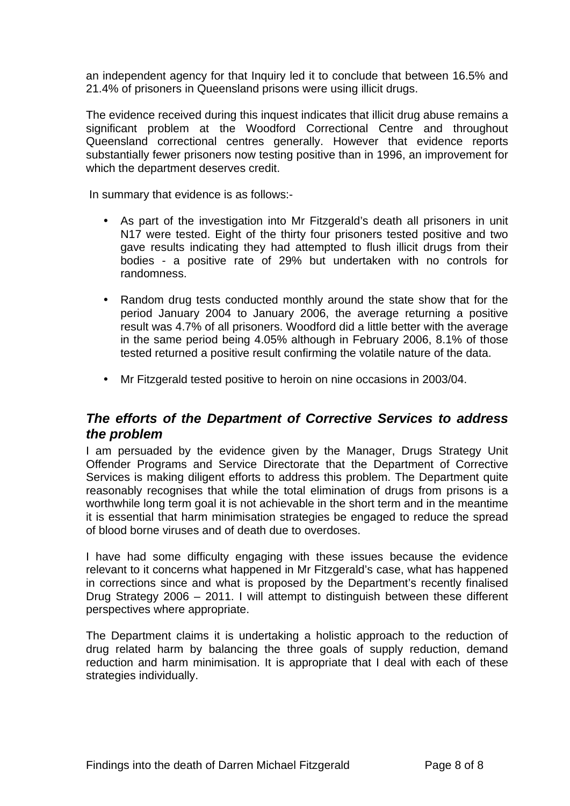an independent agency for that Inquiry led it to conclude that between 16.5% and 21.4% of prisoners in Queensland prisons were using illicit drugs.

The evidence received during this inquest indicates that illicit drug abuse remains a significant problem at the Woodford Correctional Centre and throughout Queensland correctional centres generally. However that evidence reports substantially fewer prisoners now testing positive than in 1996, an improvement for which the department deserves credit.

In summary that evidence is as follows:-

- As part of the investigation into Mr Fitzgerald's death all prisoners in unit N17 were tested. Eight of the thirty four prisoners tested positive and two gave results indicating they had attempted to flush illicit drugs from their bodies - a positive rate of 29% but undertaken with no controls for randomness.
- Random drug tests conducted monthly around the state show that for the period January 2004 to January 2006, the average returning a positive result was 4.7% of all prisoners. Woodford did a little better with the average in the same period being 4.05% although in February 2006, 8.1% of those tested returned a positive result confirming the volatile nature of the data.
- Mr Fitzgerald tested positive to heroin on nine occasions in 2003/04.

## *The efforts of the Department of Corrective Services to address the problem*

I am persuaded by the evidence given by the Manager, Drugs Strategy Unit Offender Programs and Service Directorate that the Department of Corrective Services is making diligent efforts to address this problem. The Department quite reasonably recognises that while the total elimination of drugs from prisons is a worthwhile long term goal it is not achievable in the short term and in the meantime it is essential that harm minimisation strategies be engaged to reduce the spread of blood borne viruses and of death due to overdoses.

I have had some difficulty engaging with these issues because the evidence relevant to it concerns what happened in Mr Fitzgerald's case, what has happened in corrections since and what is proposed by the Department's recently finalised Drug Strategy 2006 – 2011. I will attempt to distinguish between these different perspectives where appropriate.

The Department claims it is undertaking a holistic approach to the reduction of drug related harm by balancing the three goals of supply reduction, demand reduction and harm minimisation. It is appropriate that I deal with each of these strategies individually.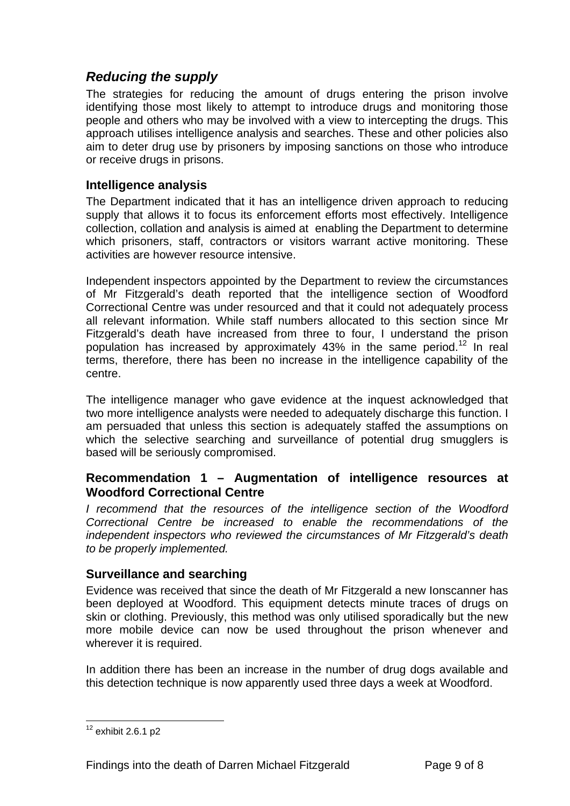## *Reducing the supply*

The strategies for reducing the amount of drugs entering the prison involve identifying those most likely to attempt to introduce drugs and monitoring those people and others who may be involved with a view to intercepting the drugs. This approach utilises intelligence analysis and searches. These and other policies also aim to deter drug use by prisoners by imposing sanctions on those who introduce or receive drugs in prisons.

## **Intelligence analysis**

The Department indicated that it has an intelligence driven approach to reducing supply that allows it to focus its enforcement efforts most effectively. Intelligence collection, collation and analysis is aimed at enabling the Department to determine which prisoners, staff, contractors or visitors warrant active monitoring. These activities are however resource intensive.

Independent inspectors appointed by the Department to review the circumstances of Mr Fitzgerald's death reported that the intelligence section of Woodford Correctional Centre was under resourced and that it could not adequately process all relevant information. While staff numbers allocated to this section since Mr Fitzgerald's death have increased from three to four, I understand the prison population has increased by approximately  $43\%$  in the same period.<sup>12</sup> In real terms, therefore, there has been no increase in the intelligence capability of the centre.

The intelligence manager who gave evidence at the inquest acknowledged that two more intelligence analysts were needed to adequately discharge this function. I am persuaded that unless this section is adequately staffed the assumptions on which the selective searching and surveillance of potential drug smugglers is based will be seriously compromised.

## **Recommendation 1 – Augmentation of intelligence resources at Woodford Correctional Centre**

*I recommend that the resources of the intelligence section of the Woodford Correctional Centre be increased to enable the recommendations of the independent inspectors who reviewed the circumstances of Mr Fitzgerald's death to be properly implemented.* 

#### **Surveillance and searching**

Evidence was received that since the death of Mr Fitzgerald a new Ionscanner has been deployed at Woodford. This equipment detects minute traces of drugs on skin or clothing. Previously, this method was only utilised sporadically but the new more mobile device can now be used throughout the prison whenever and wherever it is required.

In addition there has been an increase in the number of drug dogs available and this detection technique is now apparently used three days a week at Woodford.

l  $12$  exhibit 2.6.1 p2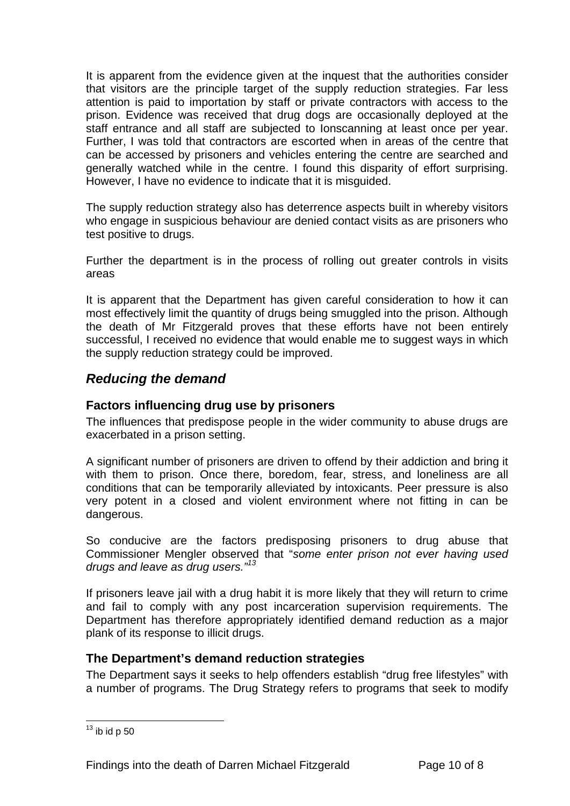It is apparent from the evidence given at the inquest that the authorities consider that visitors are the principle target of the supply reduction strategies. Far less attention is paid to importation by staff or private contractors with access to the prison. Evidence was received that drug dogs are occasionally deployed at the staff entrance and all staff are subjected to Ionscanning at least once per year. Further, I was told that contractors are escorted when in areas of the centre that can be accessed by prisoners and vehicles entering the centre are searched and generally watched while in the centre. I found this disparity of effort surprising. However, I have no evidence to indicate that it is misguided.

The supply reduction strategy also has deterrence aspects built in whereby visitors who engage in suspicious behaviour are denied contact visits as are prisoners who test positive to drugs.

Further the department is in the process of rolling out greater controls in visits areas

It is apparent that the Department has given careful consideration to how it can most effectively limit the quantity of drugs being smuggled into the prison. Although the death of Mr Fitzgerald proves that these efforts have not been entirely successful, I received no evidence that would enable me to suggest ways in which the supply reduction strategy could be improved.

## *Reducing the demand*

#### **Factors influencing drug use by prisoners**

The influences that predispose people in the wider community to abuse drugs are exacerbated in a prison setting.

A significant number of prisoners are driven to offend by their addiction and bring it with them to prison. Once there, boredom, fear, stress, and loneliness are all conditions that can be temporarily alleviated by intoxicants. Peer pressure is also very potent in a closed and violent environment where not fitting in can be dangerous.

So conducive are the factors predisposing prisoners to drug abuse that Commissioner Mengler observed that "*some enter prison not ever having used drugs and leave as drug users."13*

If prisoners leave jail with a drug habit it is more likely that they will return to crime and fail to comply with any post incarceration supervision requirements. The Department has therefore appropriately identified demand reduction as a major plank of its response to illicit drugs.

#### **The Department's demand reduction strategies**

The Department says it seeks to help offenders establish "drug free lifestyles" with a number of programs. The Drug Strategy refers to programs that seek to modify

l

 $13$  ib id p 50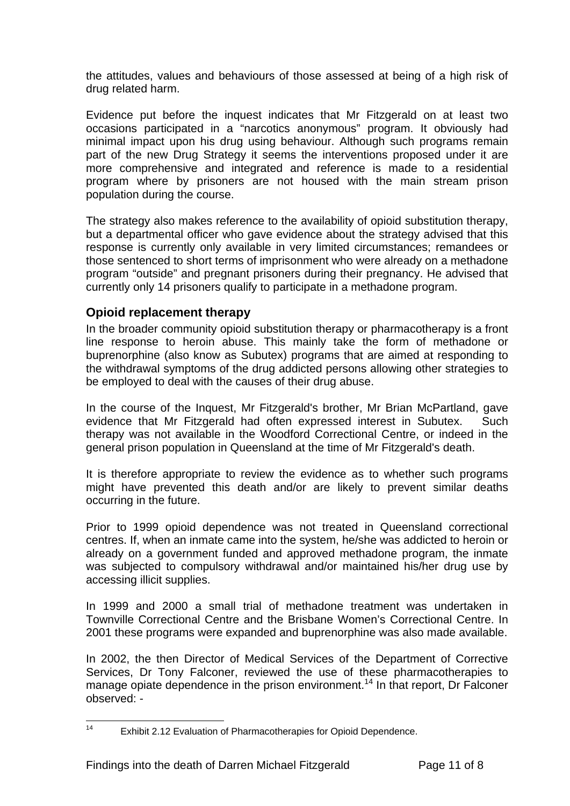the attitudes, values and behaviours of those assessed at being of a high risk of drug related harm.

Evidence put before the inquest indicates that Mr Fitzgerald on at least two occasions participated in a "narcotics anonymous" program. It obviously had minimal impact upon his drug using behaviour. Although such programs remain part of the new Drug Strategy it seems the interventions proposed under it are more comprehensive and integrated and reference is made to a residential program where by prisoners are not housed with the main stream prison population during the course.

The strategy also makes reference to the availability of opioid substitution therapy, but a departmental officer who gave evidence about the strategy advised that this response is currently only available in very limited circumstances; remandees or those sentenced to short terms of imprisonment who were already on a methadone program "outside" and pregnant prisoners during their pregnancy. He advised that currently only 14 prisoners qualify to participate in a methadone program.

## **Opioid replacement therapy**

In the broader community opioid substitution therapy or pharmacotherapy is a front line response to heroin abuse. This mainly take the form of methadone or buprenorphine (also know as Subutex) programs that are aimed at responding to the withdrawal symptoms of the drug addicted persons allowing other strategies to be employed to deal with the causes of their drug abuse.

In the course of the Inquest, Mr Fitzgerald's brother, Mr Brian McPartland, gave evidence that Mr Fitzgerald had often expressed interest in Subutex. Such therapy was not available in the Woodford Correctional Centre, or indeed in the general prison population in Queensland at the time of Mr Fitzgerald's death.

It is therefore appropriate to review the evidence as to whether such programs might have prevented this death and/or are likely to prevent similar deaths occurring in the future.

Prior to 1999 opioid dependence was not treated in Queensland correctional centres. If, when an inmate came into the system, he/she was addicted to heroin or already on a government funded and approved methadone program, the inmate was subjected to compulsory withdrawal and/or maintained his/her drug use by accessing illicit supplies.

In 1999 and 2000 a small trial of methadone treatment was undertaken in Townville Correctional Centre and the Brisbane Women's Correctional Centre. In 2001 these programs were expanded and buprenorphine was also made available.

In 2002, the then Director of Medical Services of the Department of Corrective Services, Dr Tony Falconer, reviewed the use of these pharmacotherapies to manage opiate dependence in the prison environment.<sup>14</sup> In that report, Dr Falconer observed: -

 $14$ Exhibit 2.12 Evaluation of Pharmacotherapies for Opioid Dependence.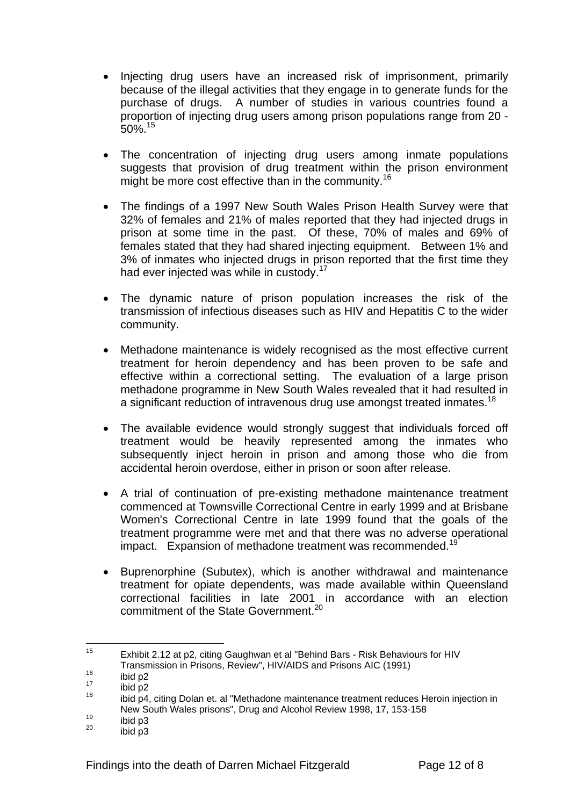- Injecting drug users have an increased risk of imprisonment, primarily because of the illegal activities that they engage in to generate funds for the purchase of drugs. A number of studies in various countries found a proportion of injecting drug users among prison populations range from 20 -  $50\%$ <sup>15</sup>
- The concentration of injecting drug users among inmate populations suggests that provision of drug treatment within the prison environment might be more cost effective than in the community.<sup>16</sup>
- The findings of a 1997 New South Wales Prison Health Survey were that 32% of females and 21% of males reported that they had injected drugs in prison at some time in the past. Of these, 70% of males and 69% of females stated that they had shared injecting equipment. Between 1% and 3% of inmates who injected drugs in prison reported that the first time they had ever injected was while in custody.<sup>17</sup>
- The dynamic nature of prison population increases the risk of the transmission of infectious diseases such as HIV and Hepatitis C to the wider community.
- Methadone maintenance is widely recognised as the most effective current treatment for heroin dependency and has been proven to be safe and effective within a correctional setting. The evaluation of a large prison methadone programme in New South Wales revealed that it had resulted in a significant reduction of intravenous drug use amongst treated inmates.<sup>18</sup>
- The available evidence would strongly suggest that individuals forced off treatment would be heavily represented among the inmates who subsequently inject heroin in prison and among those who die from accidental heroin overdose, either in prison or soon after release.
- A trial of continuation of pre-existing methadone maintenance treatment commenced at Townsville Correctional Centre in early 1999 and at Brisbane Women's Correctional Centre in late 1999 found that the goals of the treatment programme were met and that there was no adverse operational impact. Expansion of methadone treatment was recommended.<sup>19</sup>
- Buprenorphine (Subutex), which is another withdrawal and maintenance treatment for opiate dependents, was made available within Queensland correctional facilities in late 2001 in accordance with an election commitment of the State Government.<sup>20</sup>

<sup>15</sup> Exhibit 2.12 at p2, citing Gaughwan et al "Behind Bars - Risk Behaviours for HIV

Transmission in Prisons, Review", HIV/AIDS and Prisons AIC (1991)<br>
<sup>16</sup> ibid p2<br>
<sup>18</sup> ibid p4, citing Dolan et. al "Methadone maintenance treatment reduces Heroin injection in New South Wales prisons", Drug and Alcohol Review 1998, 17, 153-158<br>
<sup>19</sup> ibid p3<br>
<sup>20</sup> ibid p3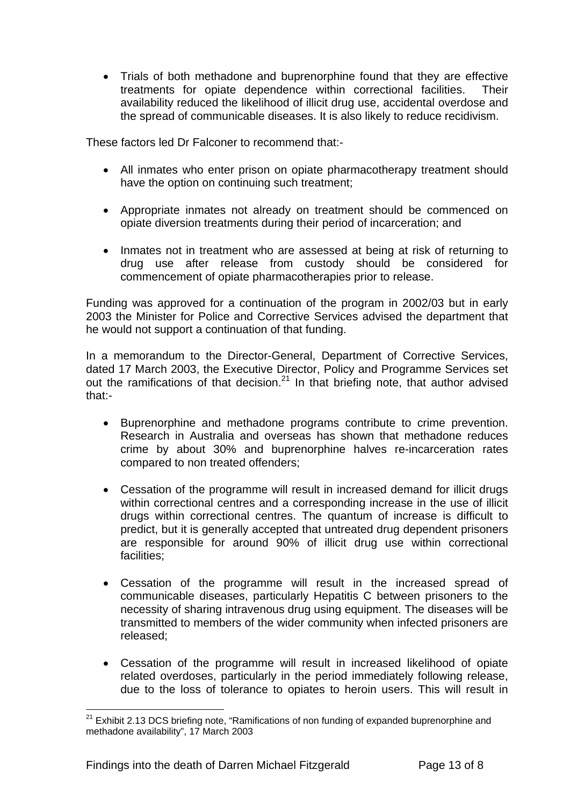• Trials of both methadone and buprenorphine found that they are effective treatments for opiate dependence within correctional facilities. Their availability reduced the likelihood of illicit drug use, accidental overdose and the spread of communicable diseases. It is also likely to reduce recidivism.

These factors led Dr Falconer to recommend that:-

- All inmates who enter prison on opiate pharmacotherapy treatment should have the option on continuing such treatment;
- Appropriate inmates not already on treatment should be commenced on opiate diversion treatments during their period of incarceration; and
- Inmates not in treatment who are assessed at being at risk of returning to drug use after release from custody should be considered for commencement of opiate pharmacotherapies prior to release.

Funding was approved for a continuation of the program in 2002/03 but in early 2003 the Minister for Police and Corrective Services advised the department that he would not support a continuation of that funding.

In a memorandum to the Director-General, Department of Corrective Services, dated 17 March 2003, the Executive Director, Policy and Programme Services set out the ramifications of that decision. $21$  In that briefing note, that author advised that:-

- Buprenorphine and methadone programs contribute to crime prevention. Research in Australia and overseas has shown that methadone reduces crime by about 30% and buprenorphine halves re-incarceration rates compared to non treated offenders;
- Cessation of the programme will result in increased demand for illicit drugs within correctional centres and a corresponding increase in the use of illicit drugs within correctional centres. The quantum of increase is difficult to predict, but it is generally accepted that untreated drug dependent prisoners are responsible for around 90% of illicit drug use within correctional facilities;
- Cessation of the programme will result in the increased spread of communicable diseases, particularly Hepatitis C between prisoners to the necessity of sharing intravenous drug using equipment. The diseases will be transmitted to members of the wider community when infected prisoners are released;
- Cessation of the programme will result in increased likelihood of opiate related overdoses, particularly in the period immediately following release, due to the loss of tolerance to opiates to heroin users. This will result in

l  $21$  Exhibit 2.13 DCS briefing note, "Ramifications of non funding of expanded buprenorphine and methadone availability", 17 March 2003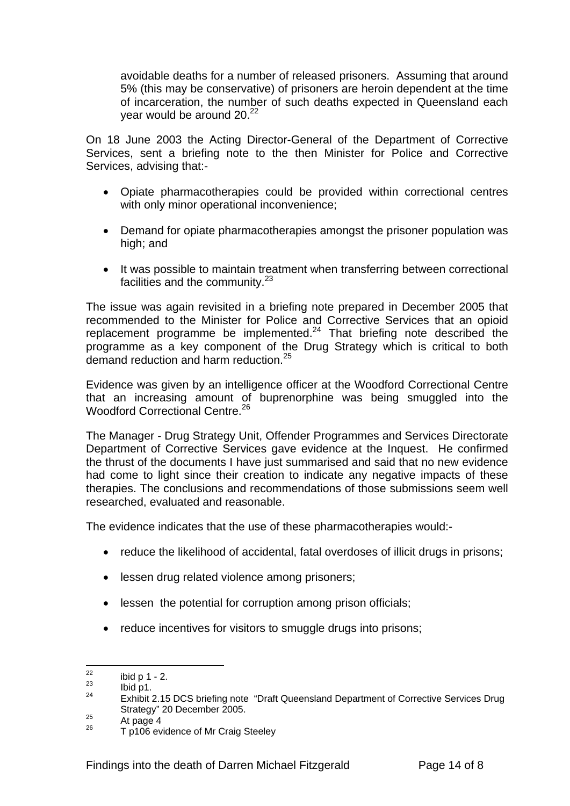avoidable deaths for a number of released prisoners. Assuming that around 5% (this may be conservative) of prisoners are heroin dependent at the time of incarceration, the number of such deaths expected in Queensland each vear would be around  $20.<sup>22</sup>$ 

On 18 June 2003 the Acting Director-General of the Department of Corrective Services, sent a briefing note to the then Minister for Police and Corrective Services, advising that:-

- Opiate pharmacotherapies could be provided within correctional centres with only minor operational inconvenience;
- Demand for opiate pharmacotherapies amongst the prisoner population was high; and
- It was possible to maintain treatment when transferring between correctional facilities and the community.<sup>23</sup>

The issue was again revisited in a briefing note prepared in December 2005 that recommended to the Minister for Police and Corrective Services that an opioid replacement programme be implemented.<sup>24</sup> That briefing note described the programme as a key component of the Drug Strategy which is critical to both demand reduction and harm reduction.<sup>25</sup>

Evidence was given by an intelligence officer at the Woodford Correctional Centre that an increasing amount of buprenorphine was being smuggled into the Woodford Correctional Centre.<sup>26</sup>

The Manager - Drug Strategy Unit, Offender Programmes and Services Directorate Department of Corrective Services gave evidence at the Inquest. He confirmed the thrust of the documents I have just summarised and said that no new evidence had come to light since their creation to indicate any negative impacts of these therapies. The conclusions and recommendations of those submissions seem well researched, evaluated and reasonable.

The evidence indicates that the use of these pharmacotherapies would:-

- reduce the likelihood of accidental, fatal overdoses of illicit drugs in prisons;
- lessen drug related violence among prisoners;
- lessen the potential for corruption among prison officials;
- reduce incentives for visitors to smuggle drugs into prisons;

<sup>22</sup> 

<sup>&</sup>lt;sup>22</sup> ibid p 1 - 2.<br><sup>23</sup> Ibid p1.<br><sup>24</sup> Exhibit 2.15 DCS briefing note "Draft Queensland Department of Corrective Services Drug Strategy" 20 December 2005.<br>
<sup>25</sup> At page 4<br>
<sup>26</sup> T p106 evidence of Mr Craig Steeley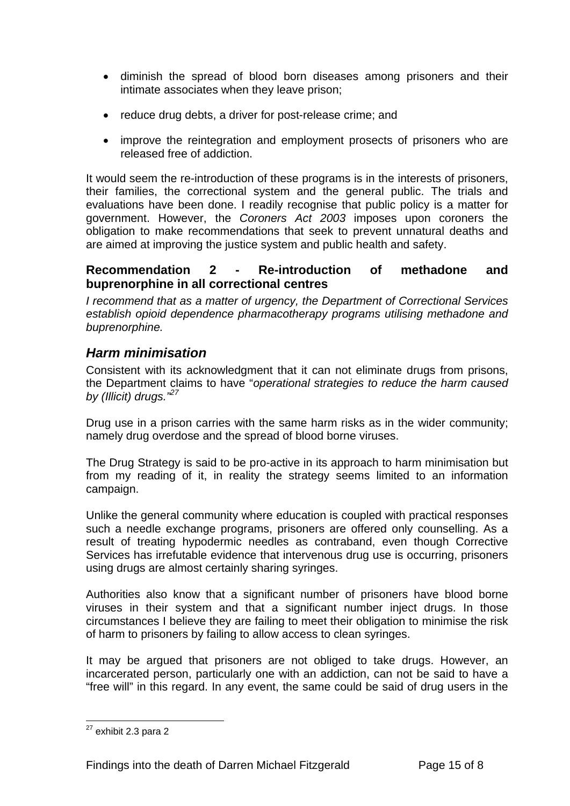- diminish the spread of blood born diseases among prisoners and their intimate associates when they leave prison;
- reduce drug debts, a driver for post-release crime; and
- improve the reintegration and employment prosects of prisoners who are released free of addiction.

It would seem the re-introduction of these programs is in the interests of prisoners, their families, the correctional system and the general public. The trials and evaluations have been done. I readily recognise that public policy is a matter for government. However, the *Coroners Act 2003* imposes upon coroners the obligation to make recommendations that seek to prevent unnatural deaths and are aimed at improving the justice system and public health and safety.

#### **Recommendation 2 - Re-introduction of methadone and buprenorphine in all correctional centres**

*I recommend that as a matter of urgency, the Department of Correctional Services establish opioid dependence pharmacotherapy programs utilising methadone and buprenorphine.* 

## *Harm minimisation*

Consistent with its acknowledgment that it can not eliminate drugs from prisons, the Department claims to have "*operational strategies to reduce the harm caused by (Illicit) drugs."27*

Drug use in a prison carries with the same harm risks as in the wider community; namely drug overdose and the spread of blood borne viruses.

The Drug Strategy is said to be pro-active in its approach to harm minimisation but from my reading of it, in reality the strategy seems limited to an information campaign.

Unlike the general community where education is coupled with practical responses such a needle exchange programs, prisoners are offered only counselling. As a result of treating hypodermic needles as contraband, even though Corrective Services has irrefutable evidence that intervenous drug use is occurring, prisoners using drugs are almost certainly sharing syringes.

Authorities also know that a significant number of prisoners have blood borne viruses in their system and that a significant number inject drugs. In those circumstances I believe they are failing to meet their obligation to minimise the risk of harm to prisoners by failing to allow access to clean syringes.

It may be argued that prisoners are not obliged to take drugs. However, an incarcerated person, particularly one with an addiction, can not be said to have a "free will" in this regard. In any event, the same could be said of drug users in the

l

 $27$  exhibit 2.3 para 2